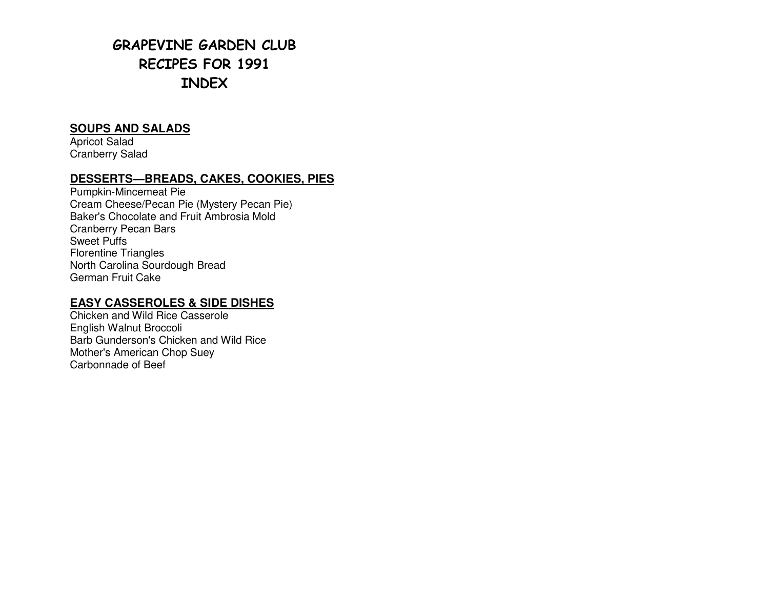# GRAPEVINE GARDEN CLUB RECIPES FOR 1991 INDEX

## **SOUPS AND SALADS**

Apricot Salad Cranberry Salad

## **DESSERTS—BREADS, CAKES, COOKIES, PIES**

Pumpkin-Mincemeat Pie Cream Cheese/Pecan Pie (Mystery Pecan Pie) Baker's Chocolate and Fruit Ambrosia Mold Cranberry Pecan Bars Sweet Puffs Florentine Triangles North Carolina Sourdough Bread German Fruit Cake

## **EASY CASSEROLES & SIDE DISHES**

Chicken and Wild Rice Casserole English Walnut Broccoli Barb Gunderson's Chicken and Wild Rice Mother's American Chop Suey Carbonnade of Beef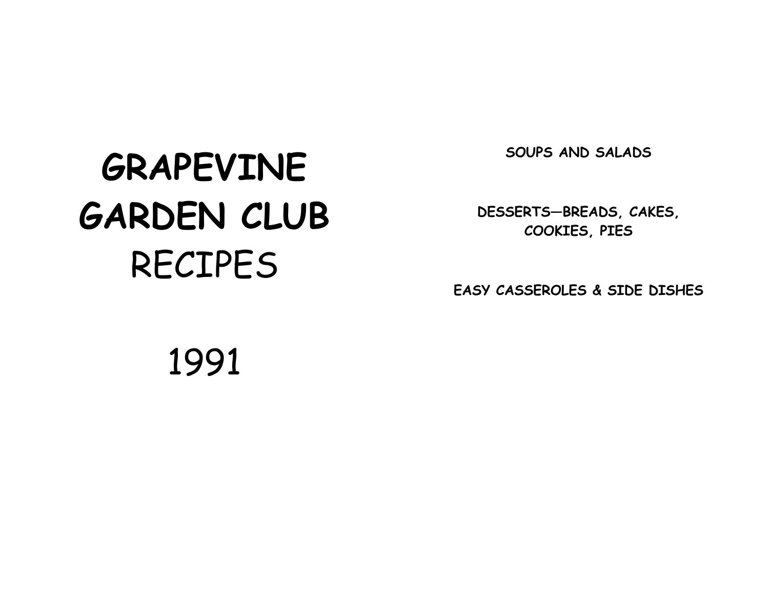SOUPS AND SALADS

# GRAPEVINE GARDEN CLUB RECIPES

DESSERTS—BREADS, CAKES, COOKIES, PIES

EASY CASSEROLES & SIDE DISHES

1991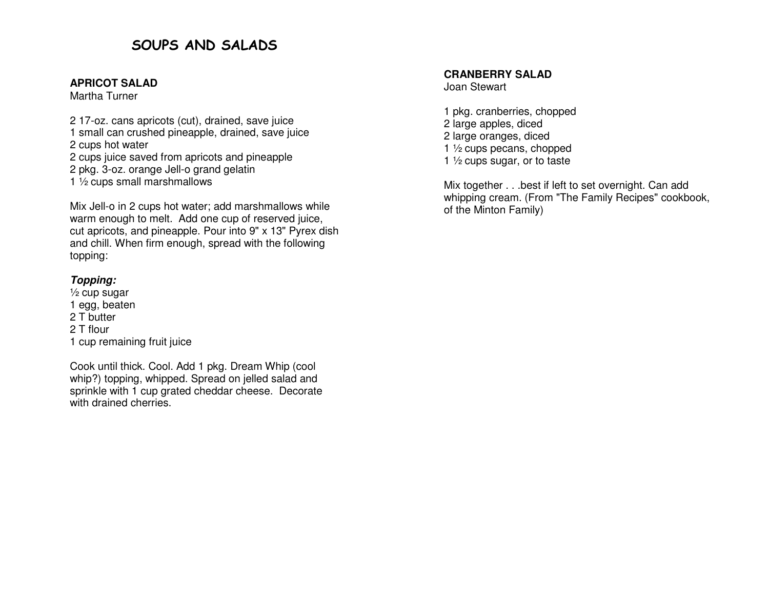# SOUPS AND SALADS

#### **APRICOT SALAD**

Martha Turner

2 17-oz. cans apricots (cut), drained, save juice 1 small can crushed pineapple, drained, save juice 2 cups hot water 2 cups juice saved from apricots and pineapple 2 pkg. 3-oz. orange Jell-o grand gelatin

1 ½ cups small marshmallows

Mix Jell-o in 2 cups hot water; add marshmallows while warm enough to melt. Add one cup of reserved juice, cut apricots, and pineapple. Pour into 9" x 13" Pyrex dish and chill. When firm enough, spread with the following topping:

## **Topping:**

 ½ cup sugar 1 egg, beaten 2 T butter 2 T flour 1 cup remaining fruit juice

Cook until thick. Cool. Add 1 pkg. Dream Whip (cool whip?) topping, whipped. Spread on jelled salad and sprinkle with 1 cup grated cheddar cheese. Decorate with drained cherries.

#### **CRANBERRY SALAD**

Joan Stewart

1 pkg. cranberries, chopped 2 large apples, diced 2 large oranges, diced 1 ½ cups pecans, chopped 1  $\frac{1}{2}$  cups sugar, or to taste

Mix together . . .best if left to set overnight. Can add whipping cream. (From "The Family Recipes" cookbook, of the Minton Family)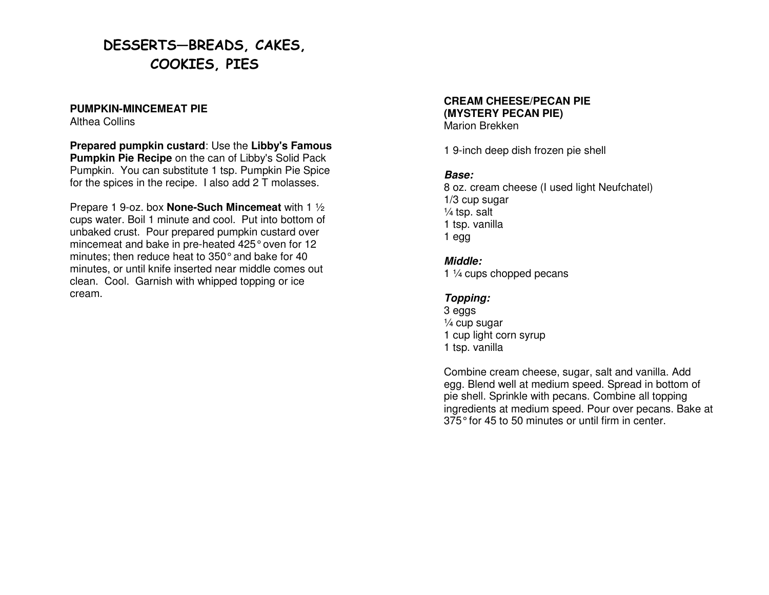# DESSERTS—BREADS, CAKES, COOKIES, PIES

#### **PUMPKIN-MINCEMEAT PIE**

Althea Collins

**Prepared pumpkin custard**: Use the **Libby's Famous Pumpkin Pie Recipe** on the can of Libby's Solid Pack Pumpkin. You can substitute 1 tsp. Pumpkin Pie Spice for the spices in the recipe. I also add 2 T molasses.

Prepare 1 9-oz. box **None-Such Mincemeat** with 1 ½ cups water. Boil 1 minute and cool. Put into bottom of unbaked crust. Pour prepared pumpkin custard over mincemeat and bake in pre-heated 425° oven for 12 minutes; then reduce heat to 350° and bake for 40 minutes, or until knife inserted near middle comes out clean. Cool. Garnish with whipped topping or ice cream.

#### **CREAM CHEESE/PECAN PIE (MYSTERY PECAN PIE)** Marion Brekken

1 9-inch deep dish frozen pie shell

## **Base:**

 8 oz. cream cheese (I used light Neufchatel) 1/3 cup sugar ¼ tsp. salt 1 tsp. vanilla 1 egg

## **Middle:**

1 1/4 cups chopped pecans

## **Topping:**

3 eggs ¼ cup sugar 1 cup light corn syrup 1 tsp. vanilla

Combine cream cheese, sugar, salt and vanilla. Add egg. Blend well at medium speed. Spread in bottom of pie shell. Sprinkle with pecans. Combine all topping ingredients at medium speed. Pour over pecans. Bake at 375° for 45 to 50 minutes or until firm in center.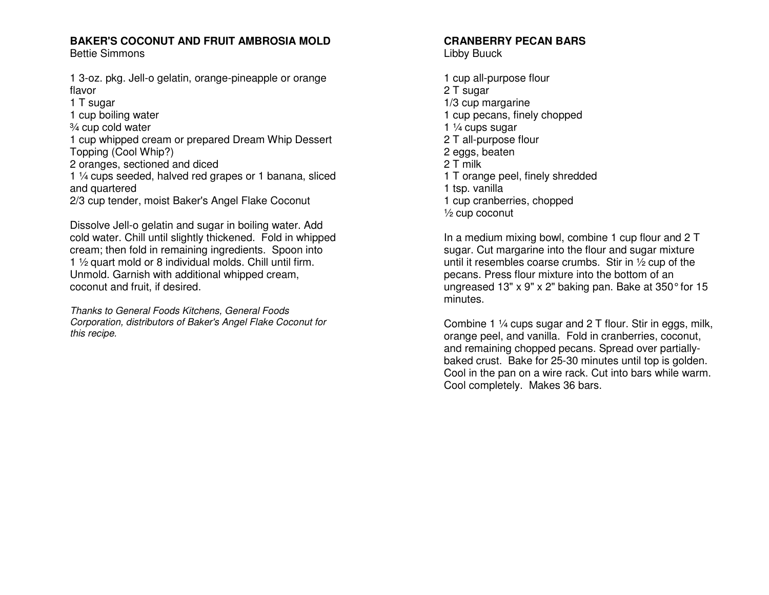## **BAKER'S COCONUT AND FRUIT AMBROSIA MOLD**

Bettie Simmons

1 3-oz. pkg. Jell-o gelatin, orange-pineapple or orange flavor

1 T sugar

1 cup boiling water

¾ cup cold water

 1 cup whipped cream or prepared Dream Whip Dessert Topping (Cool Whip?)

2 oranges, sectioned and diced

 1 ¼ cups seeded, halved red grapes or 1 banana, sliced and quartered

2/3 cup tender, moist Baker's Angel Flake Coconut

Dissolve Jell-o gelatin and sugar in boiling water. Add cold water. Chill until slightly thickened. Fold in whipped cream; then fold in remaining ingredients. Spoon into 1 ½ quart mold or 8 individual molds. Chill until firm. Unmold. Garnish with additional whipped cream, coconut and fruit, if desired.

Thanks to General Foods Kitchens, General Foods Corporation, distributors of Baker's Angel Flake Coconut for this recipe.

# **CRANBERRY PECAN BARS**

Libby Buuck

1 cup all-purpose flour 2 T sugar 1/3 cup margarine 1 cup pecans, finely chopped 1 ¼ cups sugar 2 T all-purpose flour 2 eggs, beaten 2 T milk 1 T orange peel, finely shredded 1 tsp. vanilla 1 cup cranberries, chopped ½ cup coconut

In a medium mixing bowl, combine 1 cup flour and 2 T sugar. Cut margarine into the flour and sugar mixture until it resembles coarse crumbs. Stir in  $\frac{1}{2}$  cup of the pecans. Press flour mixture into the bottom of an ungreased 13" x 9" x 2" baking pan. Bake at 350° for 15 minutes.

Combine 1 ¼ cups sugar and 2 T flour. Stir in eggs, milk, orange peel, and vanilla. Fold in cranberries, coconut, and remaining chopped pecans. Spread over partially baked crust. Bake for 25-30 minutes until top is golden. Cool in the pan on a wire rack. Cut into bars while warm. Cool completely. Makes 36 bars.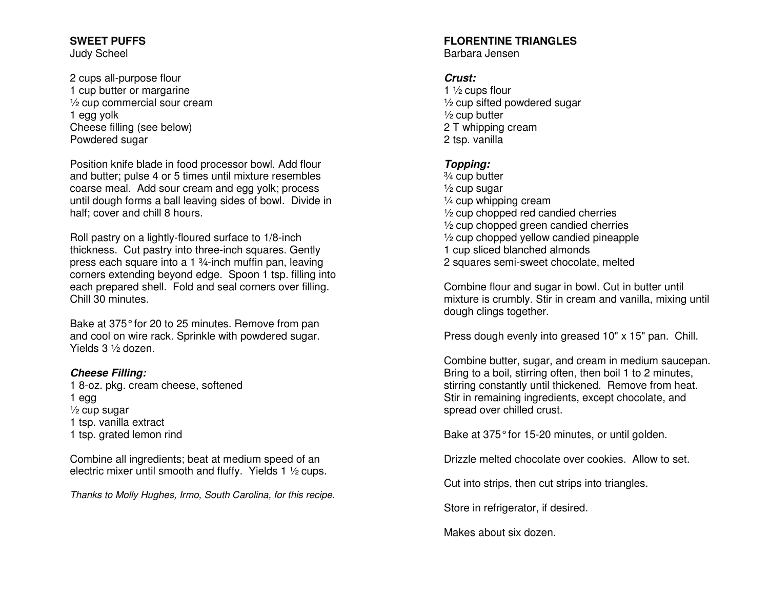#### **SWEET PUFFS** Judy Scheel

2 cups all-purpose flour 1 cup butter or margarine ½ cup commercial sour cream 1 egg yolk Cheese filling (see below) Powdered sugar

Position knife blade in food processor bowl. Add flour and butter; pulse 4 or 5 times until mixture resembles coarse meal. Add sour cream and egg yolk; process until dough forms a ball leaving sides of bowl. Divide in half; cover and chill 8 hours.

Roll pastry on a lightly-floured surface to 1/8-inch thickness. Cut pastry into three-inch squares. Gently press each square into a 1 ¾-inch muffin pan, leaving corners extending beyond edge. Spoon 1 tsp. filling into each prepared shell. Fold and seal corners over filling. Chill 30 minutes.

Bake at 375° for 20 to 25 minutes. Remove from pan and cool on wire rack. Sprinkle with powdered sugar. Yields 3 ½ dozen.

#### **Cheese Filling:**

 1 8-oz. pkg. cream cheese, softened 1 egg ½ cup sugar 1 tsp. vanilla extract 1 tsp. grated lemon rind

Combine all ingredients; beat at medium speed of anelectric mixer until smooth and fluffy. Yields 1 ½ cups.

Thanks to Molly Hughes, Irmo, South Carolina, for this recipe.

# **FLORENTINE TRIANGLES**

Barbara Jensen

#### **Crust:**

1  $\frac{1}{2}$  cups flour ½ cup sifted powdered sugar 1/<sub>2</sub> cup butter 2 T whipping cream 2 tsp. vanilla

## **Topping:**

 ¾ cup butter ½ cup sugar ¼ cup whipping cream ½ cup chopped red candied cherries ½ cup chopped green candied cherries ½ cup chopped yellow candied pineapple 1 cup sliced blanched almonds 2 squares semi-sweet chocolate, melted

Combine flour and sugar in bowl. Cut in butter until mixture is crumbly. Stir in cream and vanilla, mixing until dough clings together.

Press dough evenly into greased 10" x 15" pan. Chill.

Combine butter, sugar, and cream in medium saucepan. Bring to a boil, stirring often, then boil 1 to 2 minutes, stirring constantly until thickened. Remove from heat. Stir in remaining ingredients, except chocolate, and spread over chilled crust.

Bake at 375° for 15-20 minutes, or until golden.

Drizzle melted chocolate over cookies. Allow to set.

Cut into strips, then cut strips into triangles.

Store in refrigerator, if desired.

Makes about six dozen.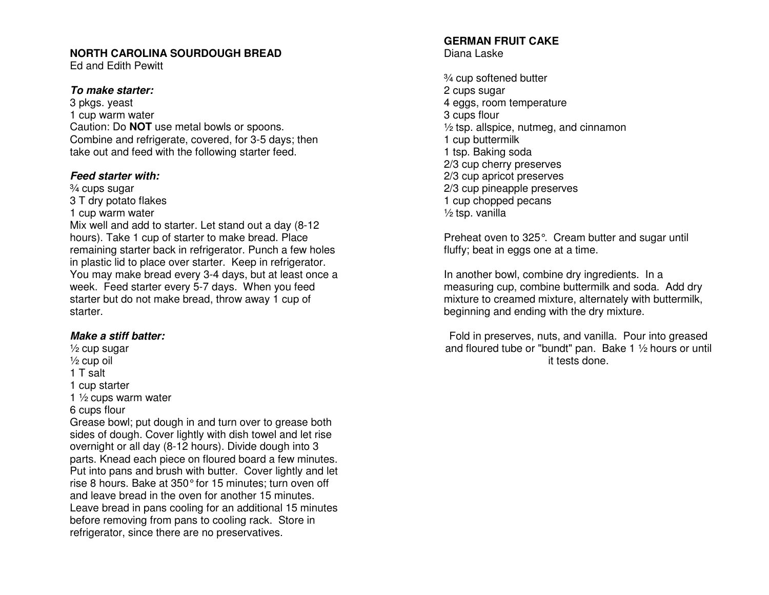#### **NORTH CAROLINA SOURDOUGH BREAD**

Ed and Edith Pewitt

#### **To make starter:**

3 pkgs. yeast 1 cup warm water Caution: Do **NOT** use metal bowls or spoons. Combine and refrigerate, covered, for 3-5 days; then take out and feed with the following starter feed.

#### **Feed starter with:**

¾ cups sugar 3 T dry potato flakes

1 cup warm water

 Mix well and add to starter. Let stand out a day (8-12 hours). Take 1 cup of starter to make bread. Place remaining starter back in refrigerator. Punch a few holes in plastic lid to place over starter. Keep in refrigerator. You may make bread every 3-4 days, but at least once a week. Feed starter every 5-7 days. When you feed starter but do not make bread, throw away 1 cup of starter.

#### **Make a stiff batter:**

½ cup sugar ½ cup oil 1 T salt

1 cup starter

1  $\frac{1}{2}$  cups warm water

#### 6 cups flour

 Grease bowl; put dough in and turn over to grease both sides of dough. Cover lightly with dish towel and let rise overnight or all day (8-12 hours). Divide dough into 3 parts. Knead each piece on floured board a few minutes. Put into pans and brush with butter. Cover lightly and let rise 8 hours. Bake at 350° for 15 minutes; turn oven off and leave bread in the oven for another 15 minutes. Leave bread in pans cooling for an additional 15 minutes before removing from pans to cooling rack. Store in refrigerator, since there are no preservatives.

#### **GERMAN FRUIT CAKE** Diana Laske

¾ cup softened butter 2 cups sugar 4 eggs, room temperature 3 cups flour ½ tsp. allspice, nutmeg, and cinnamon 1 cup buttermilk 1 tsp. Baking soda 2/3 cup cherry preserves 2/3 cup apricot preserves 2/3 cup pineapple preserves 1 cup chopped pecans ½ tsp. vanilla

Preheat oven to 325°. Cream butter and sugar untilfluffy; beat in eggs one at a time.

In another bowl, combine dry ingredients. In a measuring cup, combine buttermilk and soda. Add dry mixture to creamed mixture, alternately with buttermilk, beginning and ending with the dry mixture.

Fold in preserves, nuts, and vanilla. Pour into greased and floured tube or "bundt" pan. Bake 1 ½ hours or until it tests done.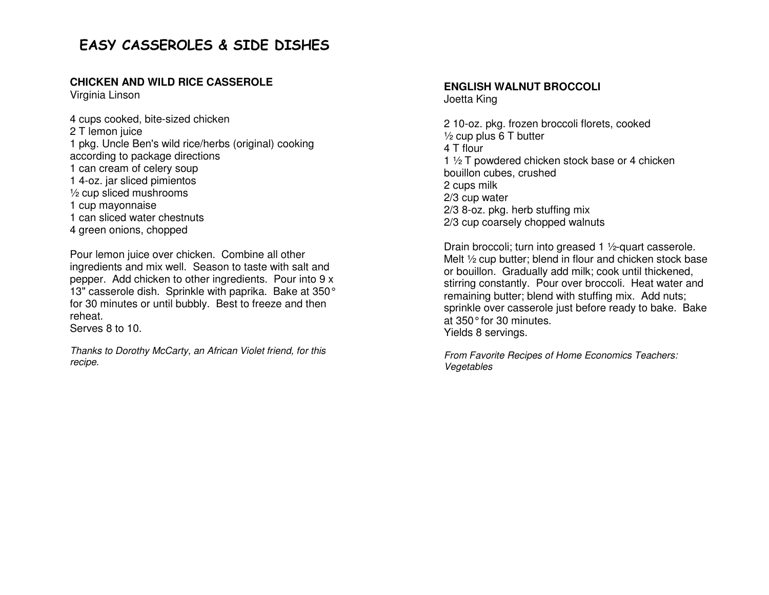# EASY CASSEROLES & SIDE DISHES

#### **CHICKEN AND WILD RICE CASSEROLE**

Virginia Linson

4 cups cooked, bite-sized chicken 2 T lemon juice 1 pkg. Uncle Ben's wild rice/herbs (original) cooking according to package directions 1 can cream of celery soup 1 4-oz. jar sliced pimientos ½ cup sliced mushrooms 1 cup mayonnaise 1 can sliced water chestnuts 4 green onions, chopped

Pour lemon juice over chicken. Combine all other ingredients and mix well. Season to taste with salt and pepper. Add chicken to other ingredients. Pour into 9 x 13" casserole dish. Sprinkle with paprika. Bake at 350° for 30 minutes or until bubbly. Best to freeze and then reheat.

Serves 8 to 10.

Thanks to Dorothy McCarty, an African Violet friend, for this recipe.

#### **ENGLISH WALNUT BROCCOLI** Joetta King

2 10-oz. pkg. frozen broccoli florets, cooked  $\frac{1}{2}$  cup plus 6 T butter 4 T flour 1 1/2 T powdered chicken stock base or 4 chicken bouillon cubes, crushed 2 cups milk 2/3 cup water 2/3 8-oz. pkg. herb stuffing mix 2/3 cup coarsely chopped walnuts

Drain broccoli; turn into greased 1 ½-quart casserole. Melt ½ cup butter; blend in flour and chicken stock base or bouillon. Gradually add milk; cook until thickened, stirring constantly. Pour over broccoli. Heat water and remaining butter; blend with stuffing mix. Add nuts; sprinkle over casserole just before ready to bake. Bake at 350° for 30 minutes. Yields 8 servings.

From Favorite Recipes of Home Economics Teachers: Vegetables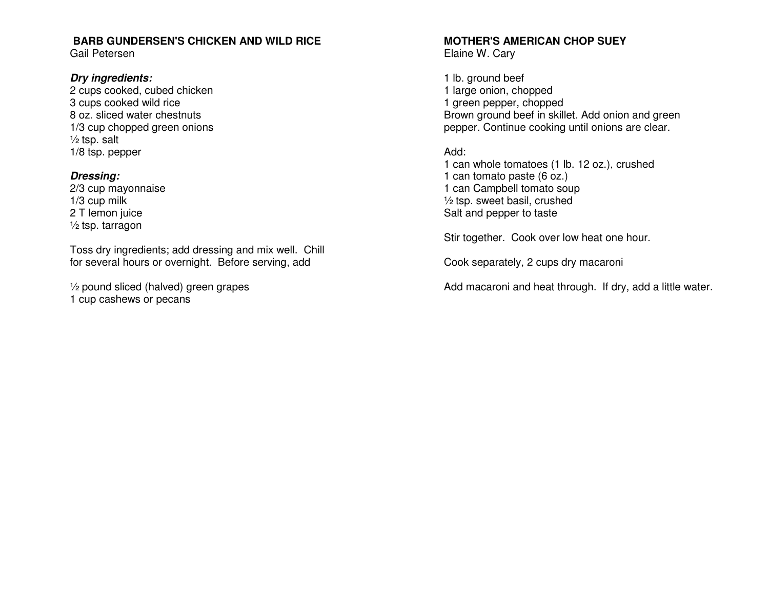## **BARB GUNDERSEN'S CHICKEN AND WILD RICE**

Gail Petersen

#### **Dry ingredients:**

 2 cups cooked, cubed chicken 3 cups cooked wild rice 8 oz. sliced water chestnuts 1/3 cup chopped green onions  $\frac{1}{2}$  tsp. salt 1/8 tsp. pepper

#### **Dressing:**

 2/3 cup mayonnaise 1/3 cup milk 2 T lemon juice ½ tsp. tarragon

Toss dry ingredients; add dressing and mix well. Chill for several hours or overnight. Before serving, add

½ pound sliced (halved) green grapes 1 cup cashews or pecans

#### **MOTHER'S AMERICAN CHOP SUEY** Elaine W. Cary

1 lb. ground beef 1 large onion, chopped 1 green pepper, chopped Brown ground beef in skillet. Add onion and green pepper. Continue cooking until onions are clear.

## Add:

 1 can whole tomatoes (1 lb. 12 oz.), crushed 1 can tomato paste (6 oz.) 1 can Campbell tomato soup ½ tsp. sweet basil, crushed Salt and pepper to taste

Stir together. Cook over low heat one hour.

Cook separately, 2 cups dry macaroni

Add macaroni and heat through. If dry, add a little water.